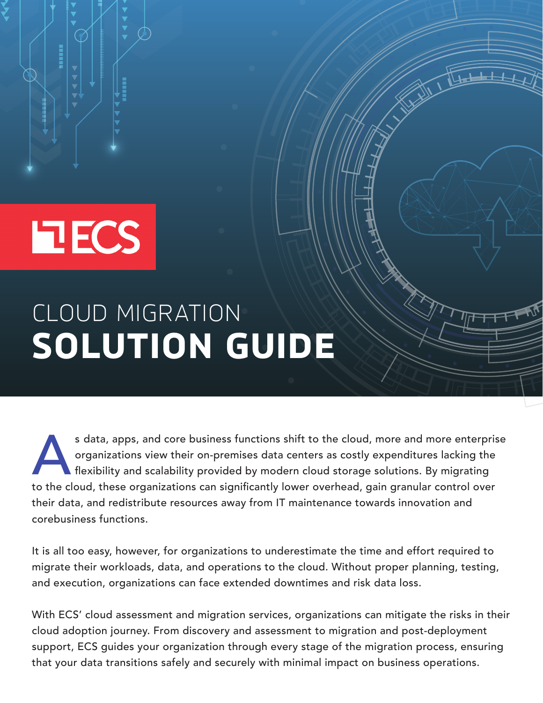

# **EECS**

## CLOUD MIGRATION **SOLUTION GUIDE**

s data, apps, and core business functions shift to the cloud, more and more enterprise<br>organizations view their on-premises data centers as costly expenditures lacking the<br>flexibility and scalability provided by modern clo organizations view their on-premises data centers as costly expenditures lacking the flexibility and scalability provided by modern cloud storage solutions. By migrating to the cloud, these organizations can significantly lower overhead, gain granular control over their data, and redistribute resources away from IT maintenance towards innovation and corebusiness functions.

It is all too easy, however, for organizations to underestimate the time and effort required to migrate their workloads, data, and operations to the cloud. Without proper planning, testing, and execution, organizations can face extended downtimes and risk data loss.

With ECS' cloud assessment and migration services, organizations can mitigate the risks in their cloud adoption journey. From discovery and assessment to migration and post-deployment support, ECS guides your organization through every stage of the migration process, ensuring that your data transitions safely and securely with minimal impact on business operations.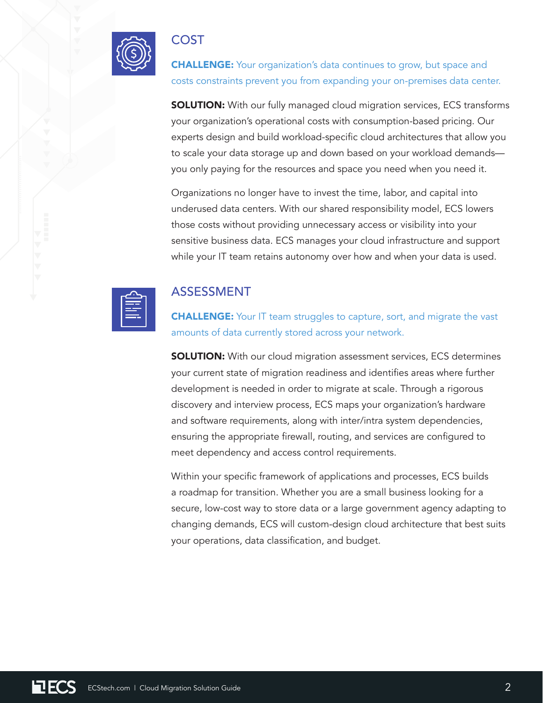

### COST

**CHALLENGE:** Your organization's data continues to grow, but space and costs constraints prevent you from expanding your on-premises data center.

**SOLUTION:** With our fully managed cloud migration services, ECS transforms your organization's operational costs with consumption-based pricing. Our experts design and build workload-specific cloud architectures that allow you to scale your data storage up and down based on your workload demands you only paying for the resources and space you need when you need it.

Organizations no longer have to invest the time, labor, and capital into underused data centers. With our shared responsibility model, ECS lowers those costs without providing unnecessary access or visibility into your sensitive business data. ECS manages your cloud infrastructure and support while your IT team retains autonomy over how and when your data is used.



#### ASSESSMENT

**CHALLENGE:** Your IT team struggles to capture, sort, and migrate the vast amounts of data currently stored across your network.

**SOLUTION:** With our cloud migration assessment services, ECS determines your current state of migration readiness and identifies areas where further development is needed in order to migrate at scale. Through a rigorous discovery and interview process, ECS maps your organization's hardware and software requirements, along with inter/intra system dependencies, ensuring the appropriate firewall, routing, and services are configured to meet dependency and access control requirements.

Within your specific framework of applications and processes, ECS builds a roadmap for transition. Whether you are a small business looking for a secure, low-cost way to store data or a large government agency adapting to changing demands, ECS will custom-design cloud architecture that best suits your operations, data classification, and budget.